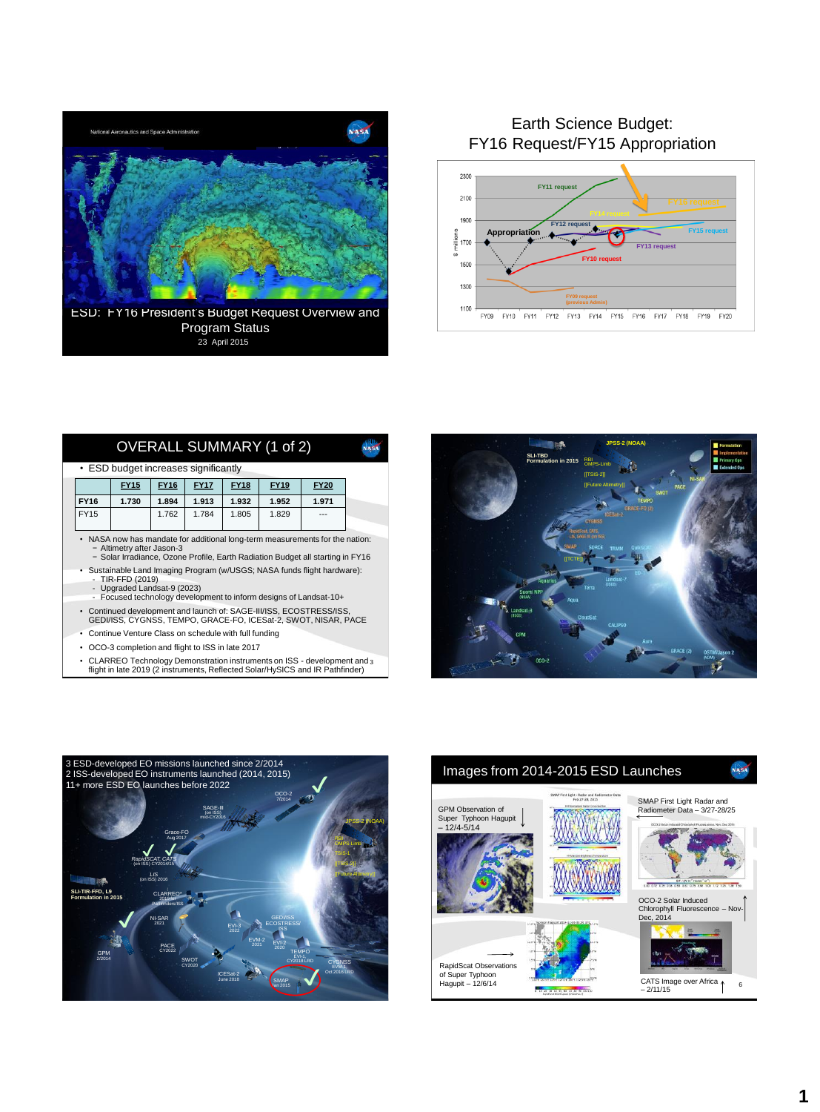

Program Status<br><sup>23</sup> April 2015 ESD: FY16 President's Budget Request Overview and

# Earth Science Budget: FY16 Request/FY15 Appropriation



| OVERALL SUMMARY (1 of 2)                                                                                                                                                                         |             |             |             |             |             |             |  |  |  |  |  |  |
|--------------------------------------------------------------------------------------------------------------------------------------------------------------------------------------------------|-------------|-------------|-------------|-------------|-------------|-------------|--|--|--|--|--|--|
| • ESD budget increases significantly                                                                                                                                                             |             |             |             |             |             |             |  |  |  |  |  |  |
|                                                                                                                                                                                                  | <b>FY15</b> | <b>FY16</b> | <b>FY17</b> | <b>FY18</b> | <b>FY19</b> | <b>FY20</b> |  |  |  |  |  |  |
| <b>FY16</b>                                                                                                                                                                                      | 1.730       | 1.894       | 1.913       | 1.932       | 1.952       | 1.971       |  |  |  |  |  |  |
| <b>FY15</b>                                                                                                                                                                                      |             | 1.762       | 1.784       | 1.805       | 1.829       | ---         |  |  |  |  |  |  |
| • NASA now has mandate for additional long-term measurements for the nation:<br>- Altimetry after Jason-3<br>- Solar Irradiance, Ozone Profile, Earth Radiation Budget all starting in FY16      |             |             |             |             |             |             |  |  |  |  |  |  |
| · Sustainable Land Imaging Program (w/USGS; NASA funds flight hardware):<br>- TIR-FFD (2019)<br>- Upgraded Landsat-9 (2023)<br>- Focused technology development to inform designs of Landsat-10+ |             |             |             |             |             |             |  |  |  |  |  |  |
| • Continued development and launch of: SAGE-III/ISS, ECOSTRESS/ISS,<br>GEDI/ISS, CYGNSS, TEMPO, GRACE-FO, ICESat-2, SWOT, NISAR, PACE                                                            |             |             |             |             |             |             |  |  |  |  |  |  |

- Continue Venture Class on schedule with full funding
- OCO-3 completion and flight to ISS in late 2017
- 3 CLARREO Technology Demonstration instruments on ISS development and flight in late 2019 (2 instruments, Reflected Solar/HySICS and IR Pathfinder)





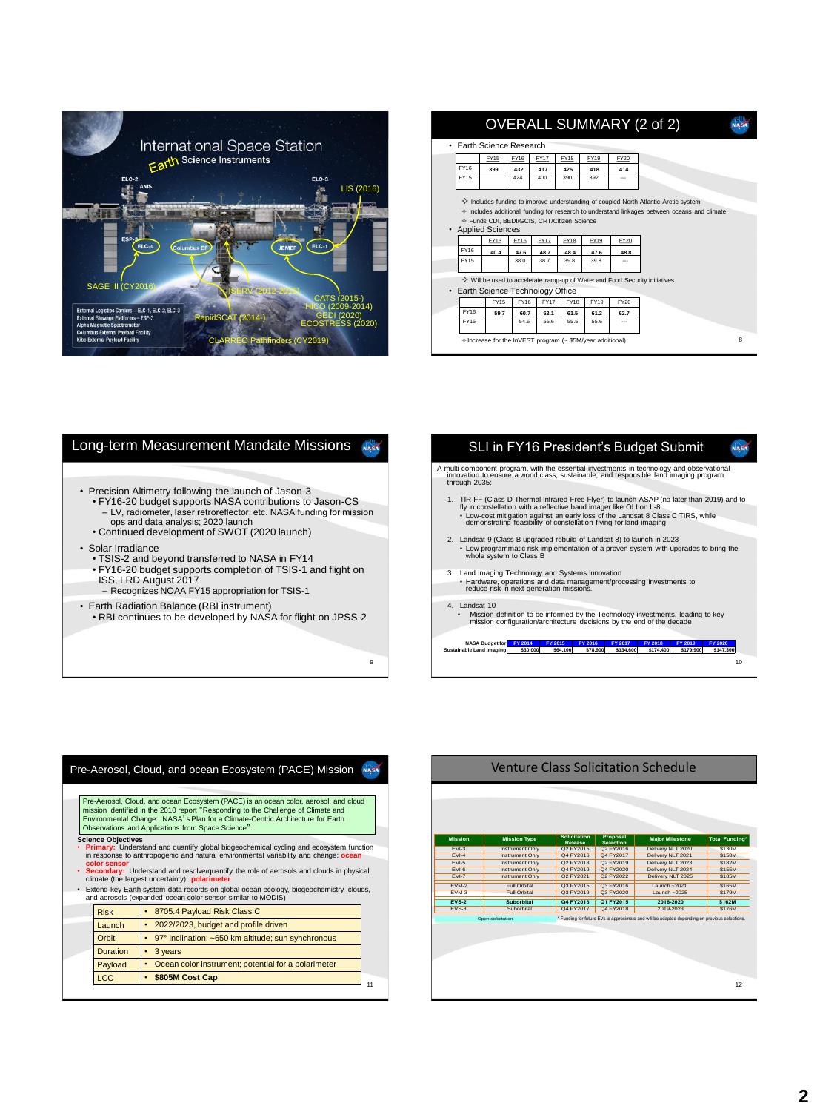

|                                           | <b>OVERALL SUMMARY (2 of 2)</b>                                                          |                                                                                              |             |             |             |      |                                                           |             |  |   |  |
|-------------------------------------------|------------------------------------------------------------------------------------------|----------------------------------------------------------------------------------------------|-------------|-------------|-------------|------|-----------------------------------------------------------|-------------|--|---|--|
| al Space Station                          | • Earth Science Research                                                                 |                                                                                              |             |             |             |      |                                                           |             |  |   |  |
| e Instruments                             |                                                                                          |                                                                                              | <b>FY15</b> | <b>EY16</b> | <b>EY17</b> | FY18 | FY19                                                      | <b>FY20</b> |  |   |  |
|                                           |                                                                                          | FY16                                                                                         | 399         | 432         | 417         | 425  | 418                                                       | 414         |  |   |  |
| ELC-3                                     |                                                                                          | FY15                                                                                         |             | 424         | 400         | 390  | 392                                                       | ---         |  |   |  |
| LIS (2016)                                |                                                                                          |                                                                                              |             |             |             |      |                                                           |             |  |   |  |
|                                           |                                                                                          | ♦ Includes funding to improve understanding of coupled North Atlantic-Arctic system          |             |             |             |      |                                                           |             |  |   |  |
|                                           |                                                                                          | ♦ Includes additional funding for research to understand linkages between oceans and climate |             |             |             |      |                                                           |             |  |   |  |
|                                           | ♦ Funds CDI, BEDI/GCIS, CRT/Citizen Science<br>• Applied Sciences                        |                                                                                              |             |             |             |      |                                                           |             |  |   |  |
| $ELC-1$                                   |                                                                                          |                                                                                              | <b>FY15</b> | FY16        | <b>FY17</b> | FY18 | FY19                                                      | <b>FY20</b> |  |   |  |
| <b>JEMEF</b>                              |                                                                                          | FY16                                                                                         | 40.4        | 47.6        | 48.7        | 48.4 | 47.6                                                      | 48.8        |  |   |  |
|                                           |                                                                                          | FY <sub>15</sub>                                                                             |             | 38.0        | 38.7        | 39.8 | 39.8                                                      | ---         |  |   |  |
|                                           |                                                                                          |                                                                                              |             |             |             |      |                                                           |             |  |   |  |
|                                           | $\diamondsuit$ Will be used to accelerate ramp-up of Water and Food Security initiatives |                                                                                              |             |             |             |      |                                                           |             |  |   |  |
| CATS (2015-)                              |                                                                                          | • Earth Science Technology Office                                                            |             |             |             |      |                                                           |             |  |   |  |
| 0 (2009-2014)                             |                                                                                          |                                                                                              | FY15        | FY16        | <b>FY17</b> | FY18 | FY19                                                      | <b>FY20</b> |  |   |  |
| <b>GEDI (2020)</b><br><b>idSCAT</b> (2014 |                                                                                          | FY16                                                                                         | 59.7        | 60.7        | 62.1        | 61.5 | 61.2                                                      | 62.7        |  |   |  |
| <b>ECOSTRESS (2020)</b>                   |                                                                                          | FY15                                                                                         |             | 54.5        | 55.6        | 55.5 | 55.6                                                      | ---         |  |   |  |
| <b>CLARR</b><br>EO Pathfinders (CY2019)   |                                                                                          |                                                                                              |             |             |             |      | ♦ Increase for the InVEST program (~\$5M/year additional) |             |  | я |  |

### Long-term Measurement Mandate Missions • Precision Altimetry following the launch of Jason-3 • FY16-20 budget supports NASA contributions to Jason-CS – LV, radiometer, laser retroreflector; etc. NASA funding for mission ops and data analysis; 2020 launch • Continued development of SWOT (2020 launch) • Solar Irradiance • TSIS-2 and beyond transferred to NASA in FY14 • FY16-20 budget supports completion of TSIS-1 and flight on ISS, LRD August 2017 – Recognizes NOAA FY15 appropriation for TSIS-1 • Earth Radiation Balance (RBI instrument) • RBI continues to be developed by NASA for flight on JPSS-2 **Freilich**

#### SLI in FY16 President's Budget Submit **And**

- A multi-component program, with the essential investments in technology and observational innovation to ensure a world class, sustainable, and responsible land imaging program through 2035:
	- 1. TIR-FF (Class D Thermal Infrared Free Flyer) to later than 2019) and to<br>fly in constellation with a reflective band imager like OLI on L-8<br>because the constanting tion against an early bess of the Landsat 8 Class C TIRS
- 2. Landsat 9 (Class B upgraded rebuild of Landsat 8) to launch in 2023 • Low programmatic risk implementation of a proven system with upgrades to bring the whole system to Class B
- 
- 3. Land Imaging Technology and Systems Innovation Hardware, operations and data management/processing investments to reduce risk in next generation missions.

### 4. Landsat 10

9

• Mission definition to be informed by the Technology investments, leading to key mission configuration/architecture decisions by the end of the decade

NASA Budget for 51 2014 51 2015 51 2016 51 2017 51 2018 51 2019 51 2020<br>Sustainable Land Imaging \$30,000 \$64,100 \$78,900 \$134,600 \$174,400 \$179,900 \$147,300

10

11 Pre-Aerosol, Cloud, and ocean Ecosystem (PACE) Mission Risk | 8705.4 Payload Risk Class C Launch • 2022/2023, budget and profile driven Orbit • 97° inclination; ~650 km altitude; sun synchronous Duration  $\|\cdot\|$  3 years Payload • Ocean color instrument; potential for a polarimeter LCC **• \$805M Cost Cap Science Objectives** • **Primary:** Understand and quantify global biogeochemical cycling and ecosystem function in response to anthropogenic and natural environmental variability and change: **ocean color sensor** • **Secondary:** Understand and resolve/quantify the role of aerosols and clouds in physical climate (the largest uncertainty): **polarimeter** • Extend key Earth system data records on global ocean ecology, biogeochemistry, clouds, and aerosols (expanded ocean color sensor similar to MODIS) Pre-Aerosol, Cloud, and ocean Ecosystem (PACE) is an ocean color, aerosol, and cloud mission identified in the 2010 report "Responding to the Challenge of Climate and<br>Environmental Change: NASA's Plan for a Climate-Centric Architecture for Earth<br>Observations and Applications from Space Science".